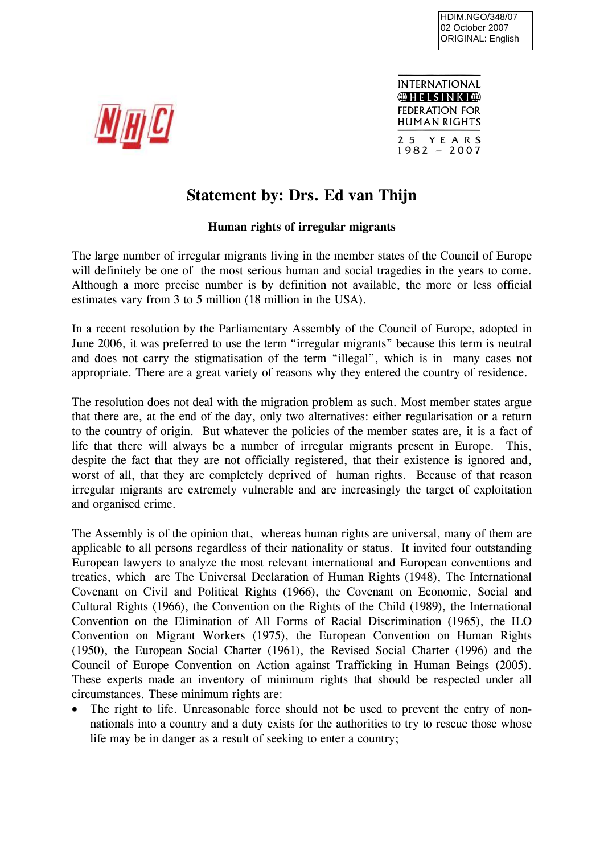

INTERNATIONAL  $\bigoplus$  HELSINKI $\bigoplus$ **FEDERATION FOR HUMAN RIGHTS** 25 YEARS  $1982 - 2007$ 

## **Statement by: Drs. Ed van Thijn**

## **Human rights of irregular migrants**

The large number of irregular migrants living in the member states of the Council of Europe will definitely be one of the most serious human and social tragedies in the years to come. Although a more precise number is by definition not available, the more or less official estimates vary from 3 to 5 million (18 million in the USA).

In a recent resolution by the Parliamentary Assembly of the Council of Europe, adopted in June 2006, it was preferred to use the term "irregular migrants" because this term is neutral and does not carry the stigmatisation of the term "illegal", which is in many cases not appropriate. There are a great variety of reasons why they entered the country of residence.

The resolution does not deal with the migration problem as such. Most member states argue that there are, at the end of the day, only two alternatives: either regularisation or a return to the country of origin. But whatever the policies of the member states are, it is a fact of life that there will always be a number of irregular migrants present in Europe. This, despite the fact that they are not officially registered, that their existence is ignored and, worst of all, that they are completely deprived of human rights. Because of that reason irregular migrants are extremely vulnerable and are increasingly the target of exploitation and organised crime.

The Assembly is of the opinion that, whereas human rights are universal, many of them are applicable to all persons regardless of their nationality or status. It invited four outstanding European lawyers to analyze the most relevant international and European conventions and treaties, which are The Universal Declaration of Human Rights (1948), The International Covenant on Civil and Political Rights (1966), the Covenant on Economic, Social and Cultural Rights (1966), the Convention on the Rights of the Child (1989), the International Convention on the Elimination of All Forms of Racial Discrimination (1965), the ILO Convention on Migrant Workers (1975), the European Convention on Human Rights (1950), the European Social Charter (1961), the Revised Social Charter (1996) and the Council of Europe Convention on Action against Trafficking in Human Beings (2005). These experts made an inventory of minimum rights that should be respected under all circumstances. These minimum rights are:

The right to life. Unreasonable force should not be used to prevent the entry of nonnationals into a country and a duty exists for the authorities to try to rescue those whose life may be in danger as a result of seeking to enter a country;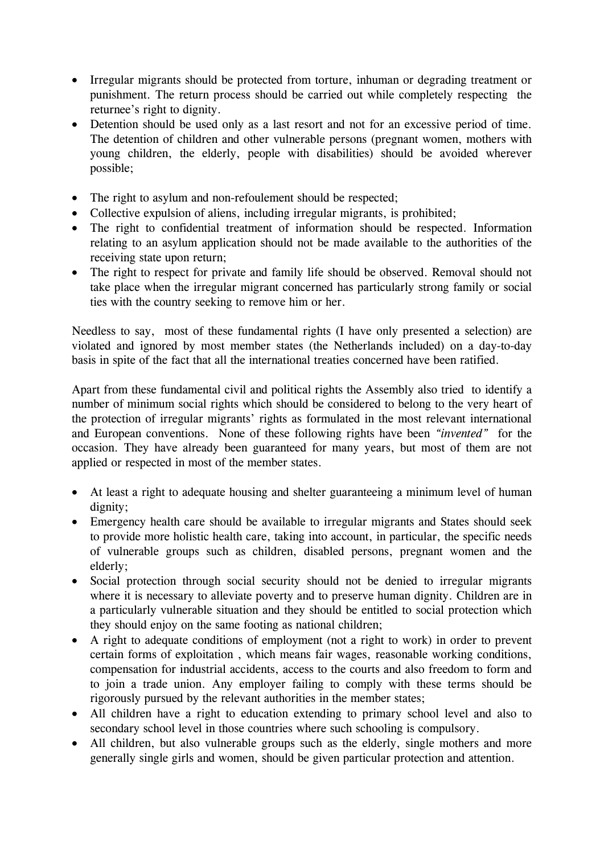- Irregular migrants should be protected from torture, inhuman or degrading treatment or punishment. The return process should be carried out while completely respecting the returnee's right to dignity.
- Detention should be used only as a last resort and not for an excessive period of time. The detention of children and other vulnerable persons (pregnant women, mothers with young children, the elderly, people with disabilities) should be avoided wherever possible;
- The right to asylum and non-refoulement should be respected;
- Collective expulsion of aliens, including irregular migrants, is prohibited;
- The right to confidential treatment of information should be respected. Information relating to an asylum application should not be made available to the authorities of the receiving state upon return;
- The right to respect for private and family life should be observed. Removal should not take place when the irregular migrant concerned has particularly strong family or social ties with the country seeking to remove him or her.

Needless to say, most of these fundamental rights (I have only presented a selection) are violated and ignored by most member states (the Netherlands included) on a day-to-day basis in spite of the fact that all the international treaties concerned have been ratified.

Apart from these fundamental civil and political rights the Assembly also tried to identify a number of minimum social rights which should be considered to belong to the very heart of the protection of irregular migrants' rights as formulated in the most relevant international and European conventions. None of these following rights have been *"invented"* for the occasion. They have already been guaranteed for many years, but most of them are not applied or respected in most of the member states.

- At least a right to adequate housing and shelter guaranteeing a minimum level of human dignity;
- Emergency health care should be available to irregular migrants and States should seek to provide more holistic health care, taking into account, in particular, the specific needs of vulnerable groups such as children, disabled persons, pregnant women and the elderly;
- Social protection through social security should not be denied to irregular migrants where it is necessary to alleviate poverty and to preserve human dignity. Children are in a particularly vulnerable situation and they should be entitled to social protection which they should enjoy on the same footing as national children;
- A right to adequate conditions of employment (not a right to work) in order to prevent certain forms of exploitation , which means fair wages, reasonable working conditions, compensation for industrial accidents, access to the courts and also freedom to form and to join a trade union. Any employer failing to comply with these terms should be rigorously pursued by the relevant authorities in the member states;
- All children have a right to education extending to primary school level and also to secondary school level in those countries where such schooling is compulsory.
- All children, but also vulnerable groups such as the elderly, single mothers and more generally single girls and women, should be given particular protection and attention.